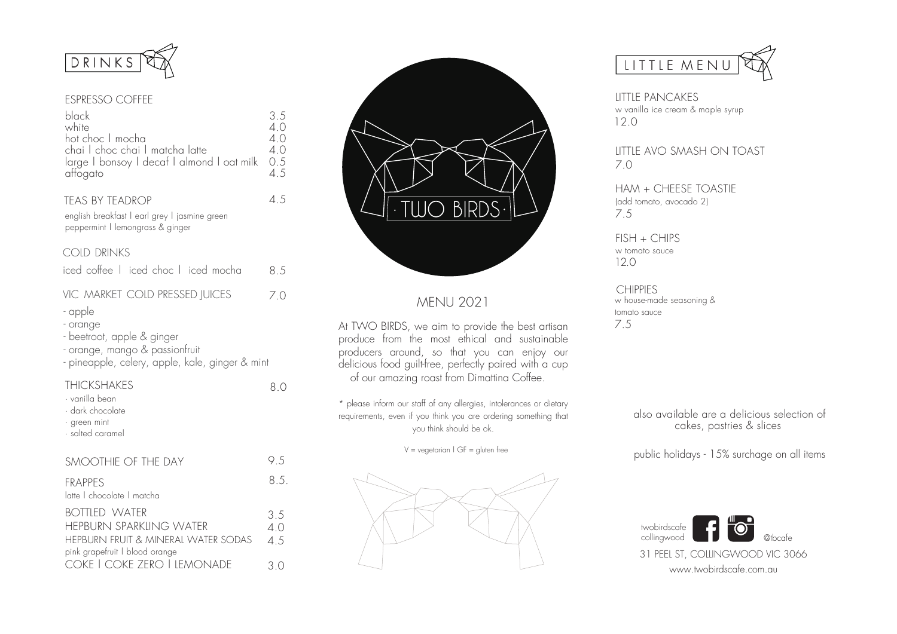

#### ESPRESSO COFFEE

| black<br>white<br>hot choc I mocha<br>chai I choc chai I matcha latte<br>large I bonsoy I decaf I almond I oat milk<br>attogato        | 3.5<br>4.0<br>4.0<br>4.0<br>0.5<br>4.5 |
|----------------------------------------------------------------------------------------------------------------------------------------|----------------------------------------|
| <b>TEAS BY TEADROP</b><br>english breakfast I earl grey I jasmine green<br>peppermint   lemongrass & ginger                            | 4.5                                    |
| <b>COLD DRINKS</b>                                                                                                                     |                                        |
| iced coffee I iced choc I iced mocha                                                                                                   | 8.5                                    |
| VIC MARKET COLD PRESSED JUICES                                                                                                         | 7.0                                    |
| - apple<br>- orange<br>- beetroot, apple & ginger<br>- orange, mango & passionfruit<br>- pineapple, celery, apple, kale, ginger & mint |                                        |
| <b>THICKSHAKES</b><br>∙ vanilla bean<br>$\cdot$ dark chocolate<br>· green mint<br>$\cdot$ salted caramel                               | 8.0                                    |
| SMOOTHIE OF THE DAY                                                                                                                    | 9.5                                    |
| <b>FRAPPES</b><br>latte I chocolate I matcha                                                                                           | 8.5.                                   |
| <b>BOTTLED WATER</b>                                                                                                                   | 3.5                                    |
| <b>HEPBURN SPARKLING WATER</b>                                                                                                         | 4.0                                    |
| HEPBURN FRUIT & MINERAL WATER SODAS<br>pink grapefruit I blood orange                                                                  | 4.5                                    |
| COKE   COKE ZERO   LEMONADE                                                                                                            | 3.0                                    |



# MENU 2021

At TWO BIRDS, we aim to provide the best artisan produce from the most ethical and sustainable producers around, so that you can enjoy our delicious food guilt-free, perfectly paired with a cup of our amazing roast from Dimattina Coffee.

\* please inform our staff of any allergies, intolerances or dietary requirements, even if you think you are ordering something that you think should be ok.

 $V = v$ egetarian | GF = gluten free





LITTLE PANCAKES w vanilla ice cream & maple syrup 12.0

LITTLE AVO SMASH ON TOAST 7.0

HAM + CHEESE TOASTIE (add tomato, avocado 2) 7.5

 $FISH + CHIPS$ w tomato sauce 12.0

**CHIPPIES** w house-made seasoning & tomato sauce 7.5

> also available are a delicious selection of cakes, pastries & slices

> public holidays - 15% surchage on all items